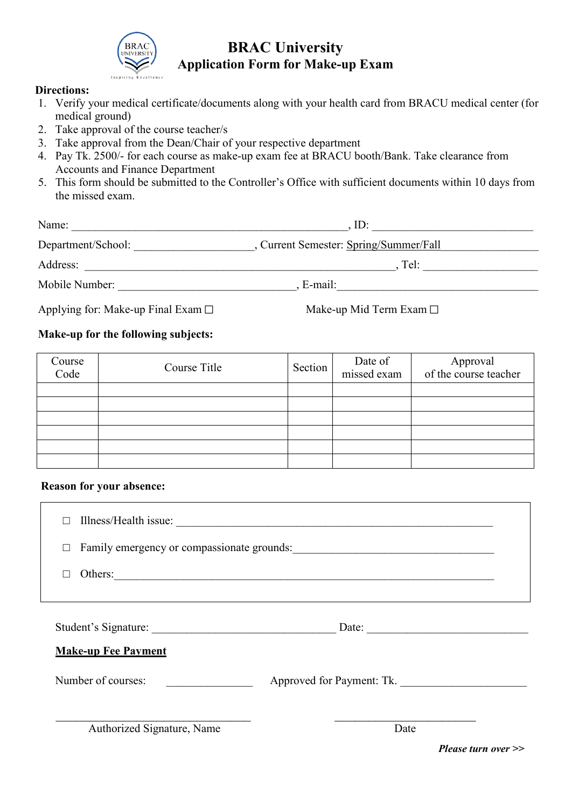

### **BRAC University Application Form for Make-up Exam**

#### **Directions:**

- 1. Verify your medical certificate/documents along with your health card from BRACU medical center (for medical ground)
- 2. Take approval of the course teacher/s
- 3. Take approval from the Dean/Chair of your respective department
- 4. Pay Tk. 2500/- for each course as make-up exam fee at BRACU booth/Bank. Take clearance from Accounts and Finance Department
- 5. This form should be submitted to the Controller's Office with sufficient documents within 10 days from the missed exam.

| Name:                                      | ID:                                  |  |
|--------------------------------------------|--------------------------------------|--|
| Department/School:                         | Current Semester: Spring/Summer/Fall |  |
| Address:                                   | Tel:                                 |  |
| Mobile Number:                             | E-mail:                              |  |
| Applying for: Make-up Final Exam $\square$ | Make-up Mid Term Exam $\square$      |  |

#### **Make-up for the following subjects:**

| Course<br>Code | Course Title | Section | Date of<br>missed exam | Approval<br>of the course teacher |
|----------------|--------------|---------|------------------------|-----------------------------------|
|                |              |         |                        |                                   |
|                |              |         |                        |                                   |
|                |              |         |                        |                                   |
|                |              |         |                        |                                   |
|                |              |         |                        |                                   |
|                |              |         |                        |                                   |

#### **Reason for your absence:**

| П                          |                           |  |
|----------------------------|---------------------------|--|
| □                          |                           |  |
| Others:                    |                           |  |
|                            |                           |  |
| Student's Signature:       | Date: $\qquad \qquad$     |  |
| <b>Make-up Fee Payment</b> |                           |  |
| Number of courses:         | Approved for Payment: Tk. |  |
|                            |                           |  |
| Authorized Signature, Name | Date                      |  |

*Please turn over >>*